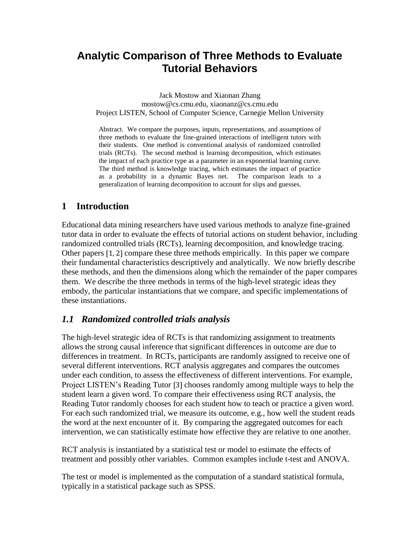# **Analytic Comparison of Three Methods to Evaluate Tutorial Behaviors**

Jack Mostow and Xiaonan Zhang mostow@cs.cmu.edu, xiaonanz@cs.cmu.edu Project LISTEN, School of Computer Science, Carnegie Mellon University

Abstract. We compare the purposes, inputs, representations, and assumptions of three methods to evaluate the fine-grained interactions of intelligent tutors with their students. One method is conventional analysis of randomized controlled trials (RCTs). The second method is learning decomposition, which estimates the impact of each practice type as a parameter in an exponential learning curve. The third method is knowledge tracing, which estimates the impact of practice as a probability in a dynamic Bayes net. The comparison leads to a generalization of learning decomposition to account for slips and guesses.

## **1 Introduction**

Educational data mining researchers have used various methods to analyze fine-grained tutor data in order to evaluate the effects of tutorial actions on student behavior, including randomized controlled trials (RCTs), learning decomposition, and knowledge tracing. Other papers [1, 2] compare these three methods empirically. In this paper we compare their fundamental characteristics descriptively and analytically. We now briefly describe these methods, and then the dimensions along which the remainder of the paper compares them. We describe the three methods in terms of the high-level strategic ideas they embody, the particular instantiations that we compare, and specific implementations of these instantiations.

### *1.1 Randomized controlled trials analysis*

The high-level strategic idea of RCTs is that randomizing assignment to treatments allows the strong causal inference that significant differences in outcome are due to differences in treatment. In RCTs, participants are randomly assigned to receive one of several different interventions. RCT analysis aggregates and compares the outcomes under each condition, to assess the effectiveness of different interventions. For example, Project LISTEN's Reading Tutor [3] chooses randomly among multiple ways to help the student learn a given word. To compare their effectiveness using RCT analysis, the Reading Tutor randomly chooses for each student how to teach or practice a given word. For each such randomized trial, we measure its outcome, e.g., how well the student reads the word at the next encounter of it. By comparing the aggregated outcomes for each intervention, we can statistically estimate how effective they are relative to one another.

RCT analysis is instantiated by a statistical test or model to estimate the effects of treatment and possibly other variables. Common examples include t-test and ANOVA.

The test or model is implemented as the computation of a standard statistical formula, typically in a statistical package such as SPSS.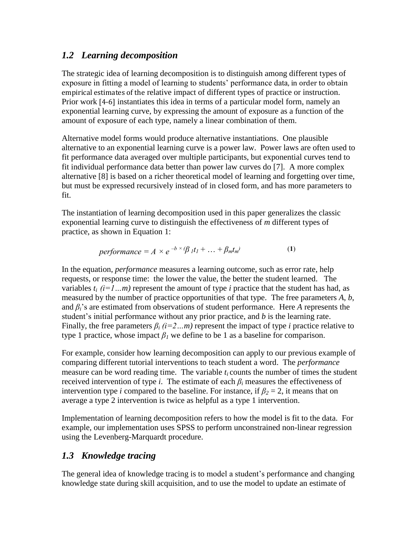#### *1.2 Learning decomposition*

The strategic idea of learning decomposition is to distinguish among different types of exposure in fitting a model of learning to students' performance data, in order to obtain empirical estimates of the relative impact of different types of practice or instruction. Prior work [4-6] instantiates this idea in terms of a particular model form, namely an exponential learning curve, by expressing the amount of exposure as a function of the amount of exposure of each type, namely a linear combination of them.

Alternative model forms would produce alternative instantiations. One plausible alternative to an exponential learning curve is a power law. Power laws are often used to fit performance data averaged over multiple participants, but exponential curves tend to fit individual performance data better than power law curves do [7]. A more complex alternative [8] is based on a richer theoretical model of learning and forgetting over time, but must be expressed recursively instead of in closed form, and has more parameters to fit.

The instantiation of learning decomposition used in this paper generalizes the classic exponential learning curve to distinguish the effectiveness of *m* different types of practice, as shown in Equation 1:

$$
performance = A \times e^{-b \times (\beta_1 t_1 + ... + \beta_m t_m)}
$$
 (1)

In the equation, *performance* measures a learning outcome, such as error rate, help requests, or response time: the lower the value, the better the student learned. The variables  $t_i$  ( $i=1...m$ ) represent the amount of type *i* practice that the student has had, as measured by the number of practice opportunities of that type. The free parameters *A*, *b*, and *βi*'s are estimated from observations of student performance. Here *A* represents the student's initial performance without any prior practice, and *b* is the learning rate. Finally, the free parameters  $\beta_i$  (*i*=2…*m*) represent the impact of type *i* practice relative to type 1 practice, whose impact  $\beta_l$  we define to be 1 as a baseline for comparison.

For example, consider how learning decomposition can apply to our previous example of comparing different tutorial interventions to teach student a word. The *performance* measure can be word reading time. The variable  $t_i$  counts the number of times the student received intervention of type *i*. The estimate of each *β<sup>i</sup>* measures the effectiveness of intervention type *i* compared to the baseline. For instance, if  $\beta_2 = 2$ , it means that on average a type 2 intervention is twice as helpful as a type 1 intervention.

Implementation of learning decomposition refers to how the model is fit to the data. For example, our implementation uses SPSS to perform unconstrained non-linear regression using the Levenberg-Marquardt procedure.

### *1.3 Knowledge tracing*

The general idea of knowledge tracing is to model a student's performance and changing knowledge state during skill acquisition, and to use the model to update an estimate of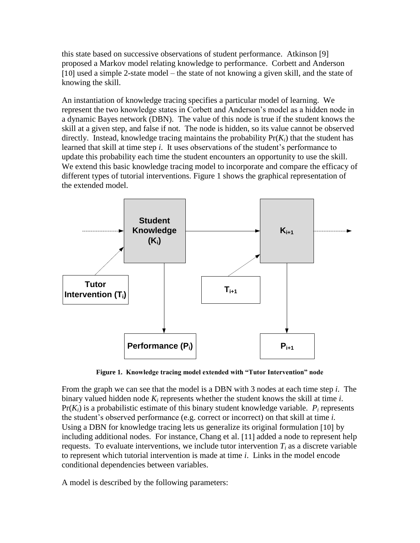this state based on successive observations of student performance. Atkinson [9] proposed a Markov model relating knowledge to performance. Corbett and Anderson [10] used a simple 2-state model – the state of not knowing a given skill, and the state of knowing the skill.

An instantiation of knowledge tracing specifies a particular model of learning. We represent the two knowledge states in Corbett and Anderson's model as a hidden node in a dynamic Bayes network (DBN). The value of this node is true if the student knows the skill at a given step*,* and false if not. The node is hidden, so its value cannot be observed directly. Instead, knowledge tracing maintains the probability  $Pr(K_i)$  that the student has learned that skill at time step *i*. It uses observations of the student's performance to update this probability each time the student encounters an opportunity to use the skill. We extend this basic knowledge tracing model to incorporate and compare the efficacy of different types of tutorial interventions. Figure 1 shows the graphical representation of the extended model.



**Figure 1. Knowledge tracing model extended with "Tutor Intervention" node**

From the graph we can see that the model is a DBN with 3 nodes at each time step *i*. The binary valued hidden node *K<sup>i</sup>* represents whether the student knows the skill at time *i*.  $Pr(K_i)$  is a probabilistic estimate of this binary student knowledge variable.  $P_i$  represents the student's observed performance (e.g. correct or incorrect) on that skill at time *i.*  Using a DBN for knowledge tracing lets us generalize its original formulation [10] by including additional nodes. For instance, Chang et al. [11] added a node to represent help requests. To evaluate interventions, we include tutor intervention  $T_i$  as a discrete variable to represent which tutorial intervention is made at time *i*. Links in the model encode conditional dependencies between variables.

A model is described by the following parameters: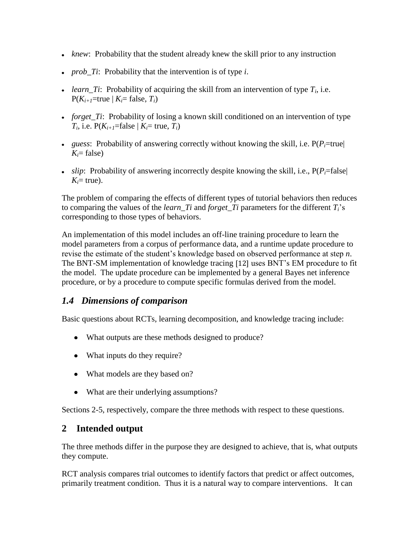- *knew*: Probability that the student already knew the skill prior to any instruction
- *prob Ti*: Probability that the intervention is of type *i*.
- *learn\_Ti*: Probability of acquiring the skill from an intervention of type *T<sup>i</sup>* , i.e.  $P(K_{i+1})$ =true |  $K_i$ = false,  $T_i$ )
- *forget\_Ti*: Probability of losing a known skill conditioned on an intervention of type  $T_i$ , i.e.  $P(K_{i+1}) = \text{false} \mid K_i = \text{true}, T_i$
- *guess*: Probability of answering correctly without knowing the skill, i.e.  $P(P_i=true)$  $K = false$
- *slip*: Probability of answering incorrectly despite knowing the skill, i.e.,  $P(P_i = false)$  $K_i$ = true).

The problem of comparing the effects of different types of tutorial behaviors then reduces to comparing the values of the *learn* Ti and *forget* Ti parameters for the different  $T_i$ 's corresponding to those types of behaviors.

An implementation of this model includes an off-line training procedure to learn the model parameters from a corpus of performance data, and a runtime update procedure to revise the estimate of the student's knowledge based on observed performance at step *n*. The BNT-SM implementation of knowledge tracing [12] uses BNT's EM procedure to fit the model. The update procedure can be implemented by a general Bayes net inference procedure, or by a procedure to compute specific formulas derived from the model.

## *1.4 Dimensions of comparison*

Basic questions about RCTs, learning decomposition, and knowledge tracing include:

- What outputs are these methods designed to produce?
- What inputs do they require?
- What models are they based on?
- What are their underlying assumptions?

Sections 2-5, respectively, compare the three methods with respect to these questions.

### **2 Intended output**

The three methods differ in the purpose they are designed to achieve, that is, what outputs they compute.

RCT analysis compares trial outcomes to identify factors that predict or affect outcomes, primarily treatment condition. Thus it is a natural way to compare interventions. It can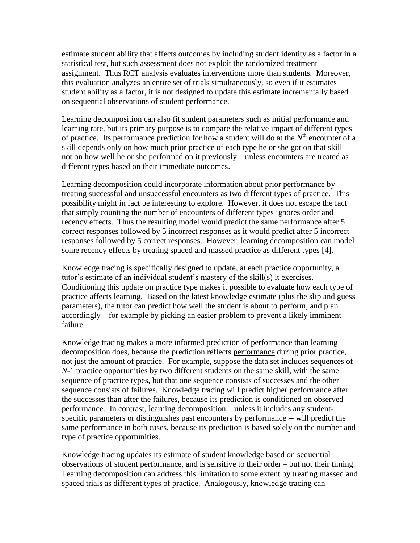estimate student ability that affects outcomes by including student identity as a factor in a statistical test, but such assessment does not exploit the randomized treatment assignment. Thus RCT analysis evaluates interventions more than students. Moreover, this evaluation analyzes an entire set of trials simultaneously, so even if it estimates student ability as a factor, it is not designed to update this estimate incrementally based on sequential observations of student performance.

Learning decomposition can also fit student parameters such as initial performance and learning rate, but its primary purpose is to compare the relative impact of different types of practice. Its performance prediction for how a student will do at the  $N<sup>th</sup>$  encounter of a skill depends only on how much prior practice of each type he or she got on that skill – not on how well he or she performed on it previously – unless encounters are treated as different types based on their immediate outcomes.

Learning decomposition could incorporate information about prior performance by treating successful and unsuccessful encounters as two different types of practice. This possibility might in fact be interesting to explore. However, it does not escape the fact that simply counting the number of encounters of different types ignores order and recency effects. Thus the resulting model would predict the same performance after 5 correct responses followed by 5 incorrect responses as it would predict after 5 incorrect responses followed by 5 correct responses. However, learning decomposition can model some recency effects by treating spaced and massed practice as different types [4].

Knowledge tracing is specifically designed to update, at each practice opportunity, a tutor's estimate of an individual student's mastery of the skill(s) it exercises. Conditioning this update on practice type makes it possible to evaluate how each type of practice affects learning. Based on the latest knowledge estimate (plus the slip and guess parameters), the tutor can predict how well the student is about to perform, and plan accordingly – for example by picking an easier problem to prevent a likely imminent failure.

Knowledge tracing makes a more informed prediction of performance than learning decomposition does, because the prediction reflects performance during prior practice, not just the amount of practice. For example, suppose the data set includes sequences of *N*-1 practice opportunities by two different students on the same skill, with the same sequence of practice types, but that one sequence consists of successes and the other sequence consists of failures. Knowledge tracing will predict higher performance after the successes than after the failures, because its prediction is conditioned on observed performance. In contrast, learning decomposition – unless it includes any studentspecific parameters or distinguishes past encounters by performance -- will predict the same performance in both cases, because its prediction is based solely on the number and type of practice opportunities.

Knowledge tracing updates its estimate of student knowledge based on sequential observations of student performance, and is sensitive to their order – but not their timing. Learning decomposition can address this limitation to some extent by treating massed and spaced trials as different types of practice. Analogously, knowledge tracing can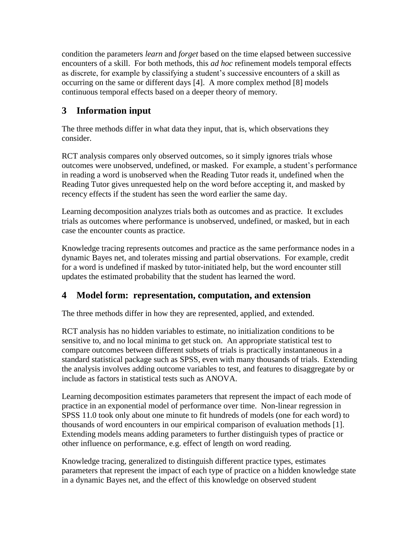condition the parameters *learn* and *forget* based on the time elapsed between successive encounters of a skill. For both methods, this *ad hoc* refinement models temporal effects as discrete, for example by classifying a student's successive encounters of a skill as occurring on the same or different days [4]. A more complex method [8] models continuous temporal effects based on a deeper theory of memory.

## **3 Information input**

The three methods differ in what data they input, that is, which observations they consider.

RCT analysis compares only observed outcomes, so it simply ignores trials whose outcomes were unobserved, undefined, or masked. For example, a student's performance in reading a word is unobserved when the Reading Tutor reads it, undefined when the Reading Tutor gives unrequested help on the word before accepting it, and masked by recency effects if the student has seen the word earlier the same day.

Learning decomposition analyzes trials both as outcomes and as practice. It excludes trials as outcomes where performance is unobserved, undefined, or masked, but in each case the encounter counts as practice.

Knowledge tracing represents outcomes and practice as the same performance nodes in a dynamic Bayes net, and tolerates missing and partial observations. For example, credit for a word is undefined if masked by tutor-initiated help, but the word encounter still updates the estimated probability that the student has learned the word.

## **4 Model form: representation, computation, and extension**

The three methods differ in how they are represented, applied, and extended.

RCT analysis has no hidden variables to estimate, no initialization conditions to be sensitive to, and no local minima to get stuck on. An appropriate statistical test to compare outcomes between different subsets of trials is practically instantaneous in a standard statistical package such as SPSS, even with many thousands of trials. Extending the analysis involves adding outcome variables to test, and features to disaggregate by or include as factors in statistical tests such as ANOVA.

Learning decomposition estimates parameters that represent the impact of each mode of practice in an exponential model of performance over time. Non-linear regression in SPSS 11.0 took only about one minute to fit hundreds of models (one for each word) to thousands of word encounters in our empirical comparison of evaluation methods [1]. Extending models means adding parameters to further distinguish types of practice or other influence on performance, e.g. effect of length on word reading.

Knowledge tracing, generalized to distinguish different practice types, estimates parameters that represent the impact of each type of practice on a hidden knowledge state in a dynamic Bayes net, and the effect of this knowledge on observed student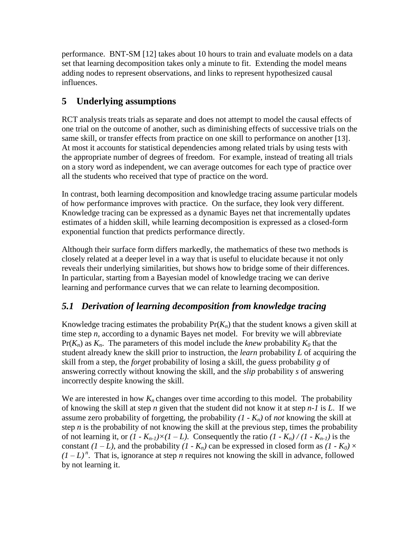performance. BNT-SM [12] takes about 10 hours to train and evaluate models on a data set that learning decomposition takes only a minute to fit. Extending the model means adding nodes to represent observations, and links to represent hypothesized causal influences.

## **5 Underlying assumptions**

RCT analysis treats trials as separate and does not attempt to model the causal effects of one trial on the outcome of another, such as diminishing effects of successive trials on the same skill, or transfer effects from practice on one skill to performance on another [13]. At most it accounts for statistical dependencies among related trials by using tests with the appropriate number of degrees of freedom. For example, instead of treating all trials on a story word as independent, we can average outcomes for each type of practice over all the students who received that type of practice on the word.

In contrast, both learning decomposition and knowledge tracing assume particular models of how performance improves with practice. On the surface, they look very different. Knowledge tracing can be expressed as a dynamic Bayes net that incrementally updates estimates of a hidden skill, while learning decomposition is expressed as a closed-form exponential function that predicts performance directly.

Although their surface form differs markedly, the mathematics of these two methods is closely related at a deeper level in a way that is useful to elucidate because it not only reveals their underlying similarities, but shows how to bridge some of their differences. In particular, starting from a Bayesian model of knowledge tracing we can derive learning and performance curves that we can relate to learning decomposition.

## *5.1 Derivation of learning decomposition from knowledge tracing*

Knowledge tracing estimates the probability  $Pr(K_n)$  that the student knows a given skill at time step *n*, according to a dynamic Bayes net model. For brevity we will abbreviate  $Pr(K_n)$  as  $K_n$ . The parameters of this model include the *knew* probability  $K_0$  that the student already knew the skill prior to instruction, the *learn* probability *L* of acquiring the skill from a step, the *forget* probability of losing a skill, the *guess* probability *g* of answering correctly without knowing the skill, and the *slip* probability *s* of answering incorrectly despite knowing the skill.

We are interested in how  $K_n$  changes over time according to this model. The probability of knowing the skill at step *n* given that the student did not know it at step *n-1* is *L*. If we assume zero probability of forgetting, the probability *(1 - Kn)* of *not* knowing the skill at step  $n$  is the probability of not knowing the skill at the previous step, times the probability of not learning it, or  $(I - K_{n-1}) \times (I - L)$ . Consequently the ratio  $(I - K_n) / (I - K_{n-1})$  is the constant  $(I - L)$ , and the probability  $(I - K_n)$  can be expressed in closed form as  $(I - K_0) \times$  $(I - L)^n$ . That is, ignorance at step *n* requires not knowing the skill in advance, followed by not learning it.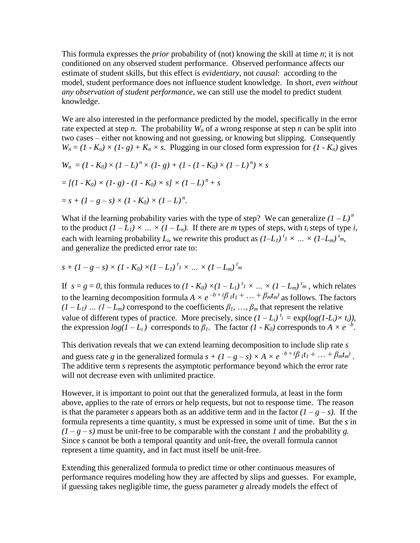This formula expresses the *prior* probability of (not) knowing the skill at time *n*; it is not conditioned on any observed student performance. Observed performance affects our estimate of student skills, but this effect is *evidentiary*, not *causal*: according to the model, student performance does not influence student knowledge. In short, *even without any observation of student performance*, we can still use the model to predict student knowledge.

We are also interested in the performance predicted by the model, specifically in the error rate expected at step *n*. The probability  $W_n$  of a wrong response at step *n* can be split into two cases – either not knowing and not guessing, or knowing but slipping. Consequently  $W_n = (1 - K_n) \times (1 - g) + K_n \times s$ . Plugging in our closed form expression for  $(1 - K_n)$  gives

$$
W_n = (1 - K_0) \times (1 - L)^n \times (1 - g) + (1 - (1 - K_0) \times (1 - L)^n) \times s
$$
  
= 
$$
[(1 - K_0) \times (1 - g) - (1 - K_0) \times s] \times (1 - L)^n + s
$$
  
= 
$$
s + (1 - g - s) \times (1 - K_0) \times (1 - L)^n.
$$

What if the learning probability varies with the type of step? We can generalize  $(I - L)^n$ to the product  $(I - L_I) \times ... \times (I - L_n)$ . If there are *m* types of steps, with  $t_i$  steps of type *i*, each with learning probability  $L_i$ , we rewrite this product as  $(I-L_1)^t I \times ... \times (I-L_m)^t I_m$ , and generalize the predicted error rate to:

$$
s + (1 - g - s) \times (1 - K_0) \times (1 - L_1)^{t_1} \times ... \times (1 - L_m)^{t_m}
$$

If  $s = g = 0$ , this formula reduces to  $(I - K_0) \times (I - L_1)^t I \times ... \times (I - L_m)^t$ , which relates to the learning decomposition formula  $A \times e^{-b \times (\beta_1 t_1 + \dots + \beta_m t_m)}$  as follows. The factors  $(I - L_I)$  …  $(I - L_m)$  correspond to the coefficients  $\beta_1, \ldots, \beta_m$  that represent the relative value of different types of practice. More precisely, since  $(I - L_i)^{t_i} = \exp(log(I - L_i) \times t_i)$ , the expression  $log(1 - L_i)$  corresponds to  $\beta_1$ . The factor  $(1 - K_0)$  corresponds to  $A \times e^{-b}$ .

This derivation reveals that we can extend learning decomposition to include slip rate *s* and guess rate *g* in the generalized formula  $s + (1 - g - s) \times A \times e^{-b \times (\beta_1 t_1 + \dots + \beta_m t_m)}$ . The additive term *s* represents the asymptotic performance beyond which the error rate will not decrease even with unlimited practice.

However, it is important to point out that the generalized formula, at least in the form above, applies to the rate of errors or help requests, but not to response time. The reason is that the parameter *s* appears both as an additive term and in the factor  $(1 - g - s)$ . If the formula represents a time quantity, *s* must be expressed in some unit of time. But the *s* in  $(1 - g - s)$  must be unit-free to be comparable with the constant *I* and the probability *g*. Since *s* cannot be both a temporal quantity and unit-free, the overall formula cannot represent a time quantity, and in fact must itself be unit-free.

Extending this generalized formula to predict time or other continuous measures of performance requires modeling how they are affected by slips and guesses. For example, if guessing takes negligible time, the guess parameter *g* already models the effect of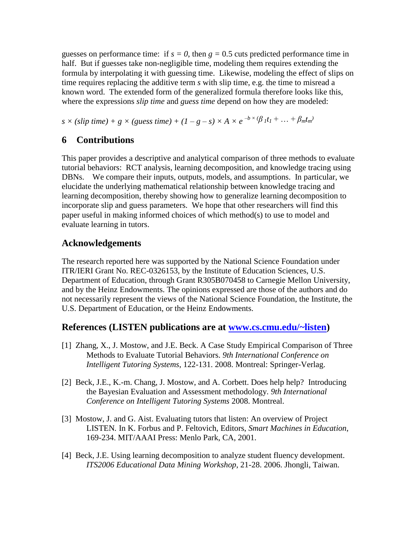guesses on performance time: if  $s = 0$ , then  $g = 0.5$  cuts predicted performance time in half. But if guesses take non-negligible time, modeling them requires extending the formula by interpolating it with guessing time. Likewise, modeling the effect of slips on time requires replacing the additive term *s* with slip time, e.g. the time to misread a known word. The extended form of the generalized formula therefore looks like this, where the expressions *slip time* and *guess time* depend on how they are modeled:

 $s \times (slip \ time) + g \times (guess \ time) + (1 - g - s) \times A \times e^{-b \times (\beta_1 t_1 + \dots + \beta_m t_m)}$ 

## **6 Contributions**

This paper provides a descriptive and analytical comparison of three methods to evaluate tutorial behaviors: RCT analysis, learning decomposition, and knowledge tracing using DBNs. We compare their inputs, outputs, models, and assumptions. In particular, we elucidate the underlying mathematical relationship between knowledge tracing and learning decomposition, thereby showing how to generalize learning decomposition to incorporate slip and guess parameters. We hope that other researchers will find this paper useful in making informed choices of which method(s) to use to model and evaluate learning in tutors.

### **Acknowledgements**

The research reported here was supported by the National Science Foundation under ITR/IERI Grant No. REC-0326153, by the Institute of Education Sciences, U.S. Department of Education, through Grant R305B070458 to Carnegie Mellon University, and by the Heinz Endowments. The opinions expressed are those of the authors and do not necessarily represent the views of the National Science Foundation, the Institute, the U.S. Department of Education, or the Heinz Endowments.

## **References (LISTEN publications are at [www.cs.cmu.edu/~listen\)](www.cs.cmu.edu/~listen)**

- [1] Zhang, X., J. Mostow, and J.E. Beck. A Case Study Empirical Comparison of Three Methods to Evaluate Tutorial Behaviors. *9th International Conference on Intelligent Tutoring Systems*, 122-131. 2008. Montreal: Springer-Verlag.
- [2] Beck, J.E., K.-m. Chang, J. Mostow, and A. Corbett. Does help help? Introducing the Bayesian Evaluation and Assessment methodology. *9th International Conference on Intelligent Tutoring Systems* 2008. Montreal.
- [3] Mostow, J. and G. Aist. Evaluating tutors that listen: An overview of Project LISTEN*.* In K. Forbus and P. Feltovich, Editors, *Smart Machines in Education*, 169-234. MIT/AAAI Press: Menlo Park, CA, 2001.
- [4] Beck, J.E. Using learning decomposition to analyze student fluency development. *ITS2006 Educational Data Mining Workshop*, 21-28. 2006. Jhongli, Taiwan.